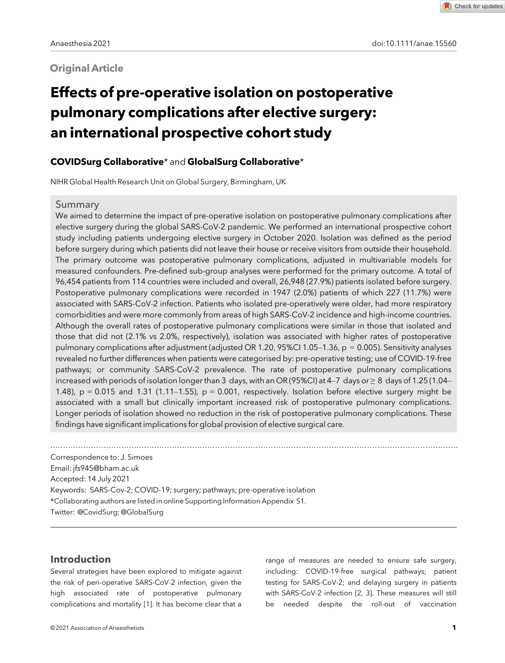# **Original Article**

# Effects of pre-operative isolation on postoperative pulmonary complications after elective surgery: an international prospective cohort study

# COVIDSurg Collaborative\* and GlobalSurg Collaborative\*

NIHR Global Health Research Unit on Global Surgery, Birmingham, UK

## Summary

We aimed to determine the impact of pre-operative isolation on postoperative pulmonary complications after elective surgery during the global SARS-CoV-2 pandemic. We performed an international prospective cohort study including patients undergoing elective surgery in October 2020. Isolation was defined as the period before surgery during which patients did not leave their house or receive visitors from outside their household. The primary outcome was postoperative pulmonary complications, adjusted in multivariable models for measured confounders. Pre-defined sub-group analyses were performed for the primary outcome. A total of 96,454 patients from 114 countries were included and overall, 26,948 (27.9%) patients isolated before surgery. Postoperative pulmonary complications were recorded in 1947 (2.0%) patients of which 227 (11.7%) were associated with SARS-CoV-2 infection. Patients who isolated pre-operatively were older, had more respiratory comorbidities and were more commonly from areas of high SARS-CoV-2 incidence and high-income countries. Although the overall rates of postoperative pulmonary complications were similar in those that isolated and those that did not (2.1% vs 2.0%, respectively), isolation was associated with higher rates of postoperative pulmonary complications after adjustment (adjusted OR 1.20, 95%CI 1.05–1.36, p = 0.005). Sensitivity analyses revealed no further differences when patients were categorised by: pre-operative testing; use of COVID-19-free pathways; or community SARS-CoV-2 prevalence. The rate of postoperative pulmonary complications increased with periods of isolation longer than 3 days, with an OR (95%CI) at 4–7 days or  $\geq 8$  days of 1.25 (1.04– 1.48),  $p = 0.015$  and 1.31 (1.11–1.55),  $p = 0.001$ , respectively. Isolation before elective surgery might be associated with a small but clinically important increased risk of postoperative pulmonary complications. Longer periods of isolation showed no reduction in the risk of postoperative pulmonary complications. These findings have significant implications for global provision of elective surgical care.

................................................................................................................................................................. Correspondence to: J. Simoes Email: [jfs945@bham.ac.uk](mailto:) Accepted: 14 July 2021 Keywords: SARS-Cov-2; COVID-19; surgery; pathways; pre-operative isolation \*Collaborating authors are listed in online Supporting Information Appendix S1. Twitter: @CovidSurg; @GlobalSurg

## Introduction

Several strategies have been explored to mitigate against the risk of peri-operative SARS-CoV-2 infection, given the high associated rate of postoperative pulmonary complications and mortality [1]. It has become clear that a

range of measures are needed to ensure safe surgery, including: COVID-19-free surgical pathways; patient testing for SARS-CoV-2; and delaying surgery in patients with SARS-CoV-2 infection [2, 3]. These measures will still be needed despite the roll-out of vaccination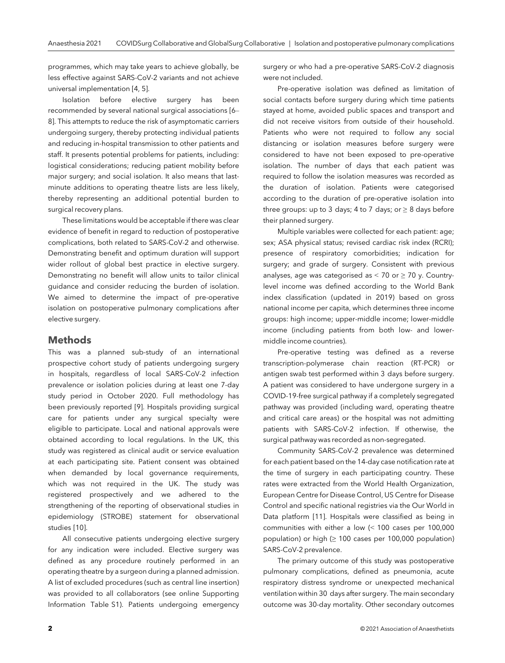programmes, which may take years to achieve globally, be less effective against SARS-CoV-2 variants and not achieve universal implementation [4, 5].

Isolation before elective surgery has been recommended by several national surgical associations [6– 8]. This attempts to reduce the risk of asymptomatic carriers undergoing surgery, thereby protecting individual patients and reducing in-hospital transmission to other patients and staff. It presents potential problems for patients, including: logistical considerations; reducing patient mobility before major surgery; and social isolation. It also means that lastminute additions to operating theatre lists are less likely, thereby representing an additional potential burden to surgical recovery plans.

These limitations would be acceptable if there was clear evidence of benefit in regard to reduction of postoperative complications, both related to SARS-CoV-2 and otherwise. Demonstrating benefit and optimum duration will support wider rollout of global best practice in elective surgery. Demonstrating no benefit will allow units to tailor clinical guidance and consider reducing the burden of isolation. We aimed to determine the impact of pre-operative isolation on postoperative pulmonary complications after elective surgery.

### **Methods**

This was a planned sub-study of an international prospective cohort study of patients undergoing surgery in hospitals, regardless of local SARS-CoV-2 infection prevalence or isolation policies during at least one 7-day study period in October 2020. Full methodology has been previously reported [9]. Hospitals providing surgical care for patients under any surgical specialty were eligible to participate. Local and national approvals were obtained according to local regulations. In the UK, this study was registered as clinical audit or service evaluation at each participating site. Patient consent was obtained when demanded by local governance requirements, which was not required in the UK. The study was registered prospectively and we adhered to the strengthening of the reporting of observational studies in epidemiology (STROBE) statement for observational studies [10].

All consecutive patients undergoing elective surgery for any indication were included. Elective surgery was defined as any procedure routinely performed in an operating theatre by a surgeon during a planned admission. A list of excluded procedures (such as central line insertion) was provided to all collaborators (see online Supporting Information Table S1). Patients undergoing emergency

surgery or who had a pre-operative SARS-CoV-2 diagnosis were not included.

Pre-operative isolation was defined as limitation of social contacts before surgery during which time patients stayed at home, avoided public spaces and transport and did not receive visitors from outside of their household. Patients who were not required to follow any social distancing or isolation measures before surgery were considered to have not been exposed to pre-operative isolation. The number of days that each patient was required to follow the isolation measures was recorded as the duration of isolation. Patients were categorised according to the duration of pre-operative isolation into three groups: up to 3 days; 4 to 7 days; or  $\geq 8$  days before their planned surgery.

Multiple variables were collected for each patient: age; sex; ASA physical status; revised cardiac risk index (RCRI); presence of respiratory comorbidities; indication for surgery; and grade of surgery. Consistent with previous analyses, age was categorised as  $<$  70 or  $\geq$  70 y. Countrylevel income was defined according to the World Bank index classification (updated in 2019) based on gross national income per capita, which determines three income groups: high income; upper-middle income; lower-middle income (including patients from both low- and lowermiddle income countries).

Pre-operative testing was defined as a reverse transcription-polymerase chain reaction (RT-PCR) or antigen swab test performed within 3 days before surgery. A patient was considered to have undergone surgery in a COVID-19-free surgical pathway if a completely segregated pathway was provided (including ward, operating theatre and critical care areas) or the hospital was not admitting patients with SARS-CoV-2 infection. If otherwise, the surgical pathway was recorded as non-segregated.

Community SARS-CoV-2 prevalence was determined for each patient based on the 14-day case notification rate at the time of surgery in each participating country. These rates were extracted from the World Health Organization, European Centre for Disease Control, US Centre for Disease Control and specific national registries via the Our World in Data platform [11]. Hospitals were classified as being in communities with either a low (< 100 cases per 100,000 population) or high  $(≥ 100$  cases per 100,000 population) SARS-CoV-2 prevalence.

The primary outcome of this study was postoperative pulmonary complications, defined as pneumonia, acute respiratory distress syndrome or unexpected mechanical ventilation within 30 days after surgery. The main secondary outcome was 30-day mortality. Other secondary outcomes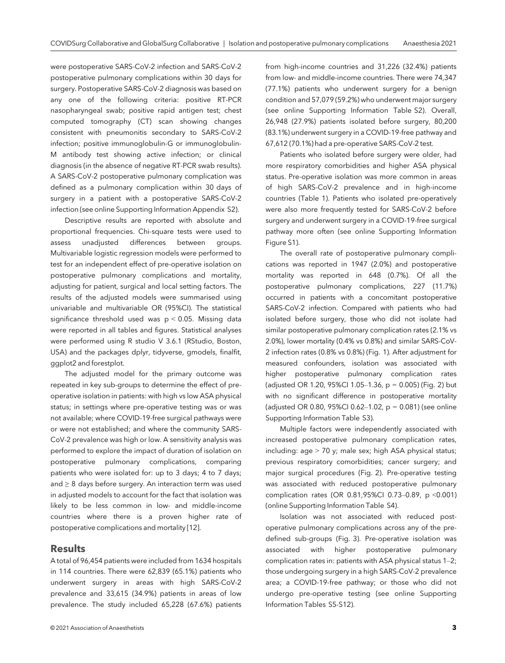were postoperative SARS-CoV-2 infection and SARS-CoV-2 postoperative pulmonary complications within 30 days for surgery. Postoperative SARS-CoV-2 diagnosis was based on any one of the following criteria: positive RT-PCR nasopharyngeal swab; positive rapid antigen test; chest computed tomography (CT) scan showing changes consistent with pneumonitis secondary to SARS-CoV-2 infection; positive immunoglobulin-G or immunoglobulin-M antibody test showing active infection; or clinical diagnosis (in the absence of negative RT-PCR swab results). A SARS-CoV-2 postoperative pulmonary complication was defined as a pulmonary complication within 30 days of surgery in a patient with a postoperative SARS-CoV-2 infection (see online Supporting Information Appendix S2).

Descriptive results are reported with absolute and proportional frequencies. Chi-square tests were used to assess unadjusted differences between groups. Multivariable logistic regression models were performed to test for an independent effect of pre-operative isolation on postoperative pulmonary complications and mortality, adjusting for patient, surgical and local setting factors. The results of the adjusted models were summarised using univariable and multivariable OR (95%CI). The statistical significance threshold used was  $p < 0.05$ . Missing data were reported in all tables and figures. Statistical analyses were performed using R studio V 3.6.1 (RStudio, Boston, USA) and the packages dplyr, tidyverse, gmodels, finalfit, ggplot2 and forestplot.

The adjusted model for the primary outcome was repeated in key sub-groups to determine the effect of preoperative isolation in patients: with high vs low ASA physical status; in settings where pre-operative testing was or was not available; where COVID-19-free surgical pathways were or were not established; and where the community SARS-CoV-2 prevalence was high or low. A sensitivity analysis was performed to explore the impact of duration of isolation on postoperative pulmonary complications, comparing patients who were isolated for: up to 3 days; 4 to 7 days; and ≥ 8 days before surgery. An interaction term was used in adjusted models to account for the fact that isolation was likely to be less common in low- and middle-income countries where there is a proven higher rate of postoperative complications and mortality [12].

## Results

A total of 96,454 patients were included from 1634 hospitals in 114 countries. There were 62,839 (65.1%) patients who underwent surgery in areas with high SARS-CoV-2 prevalence and 33,615 (34.9%) patients in areas of low prevalence. The study included 65,228 (67.6%) patients

© 2021 Association of Anaesthetists 3

from high-income countries and 31,226 (32.4%) patients from low- and middle-income countries. There were 74,347 (77.1%) patients who underwent surgery for a benign condition and 57,079 (59.2%) who underwent major surgery (see online Supporting Information Table S2). Overall, 26,948 (27.9%) patients isolated before surgery, 80,200 (83.1%) underwent surgery in a COVID-19-free pathway and 67,612 (70.1%) had a pre-operative SARS-CoV-2 test.

Patients who isolated before surgery were older, had more respiratory comorbidities and higher ASA physical status. Pre-operative isolation was more common in areas of high SARS-CoV-2 prevalence and in high-income countries (Table 1). Patients who isolated pre-operatively were also more frequently tested for SARS-CoV-2 before surgery and underwent surgery in a COVID-19-free surgical pathway more often (see online Supporting Information Figure S1).

The overall rate of postoperative pulmonary complications was reported in 1947 (2.0%) and postoperative mortality was reported in 648 (0.7%). Of all the postoperative pulmonary complications, 227 (11.7%) occurred in patients with a concomitant postoperative SARS-CoV-2 infection. Compared with patients who had isolated before surgery, those who did not isolate had similar postoperative pulmonary complication rates (2.1% vs 2.0%), lower mortality (0.4% vs 0.8%) and similar SARS-CoV-2 infection rates (0.8% vs 0.8%) (Fig. 1). After adjustment for measured confounders, isolation was associated with higher postoperative pulmonary complication rates (adjusted OR 1.20, 95%CI 1.05–1.36, p = 0.005) (Fig. 2) but with no significant difference in postoperative mortality (adjusted OR 0.80, 95%CI 0.62-1.02,  $p = 0.081$ ) (see online Supporting Information Table S3).

Multiple factors were independently associated with increased postoperative pulmonary complication rates, including: age > 70 y; male sex; high ASA physical status; previous respiratory comorbidities; cancer surgery; and major surgical procedures (Fig. 2). Pre-operative testing was associated with reduced postoperative pulmonary complication rates (OR 0.81,95%CI 0.73–0.89, p <0.001) (online Supporting Information Table S4).

Isolation was not associated with reduced postoperative pulmonary complications across any of the predefined sub-groups (Fig. 3). Pre-operative isolation was associated with higher postoperative pulmonary complication rates in: patients with ASA physical status 1–2; those undergoing surgery in a high SARS-CoV-2 prevalence area; a COVID-19-free pathway; or those who did not undergo pre-operative testing (see online Supporting Information Tables S5-S12).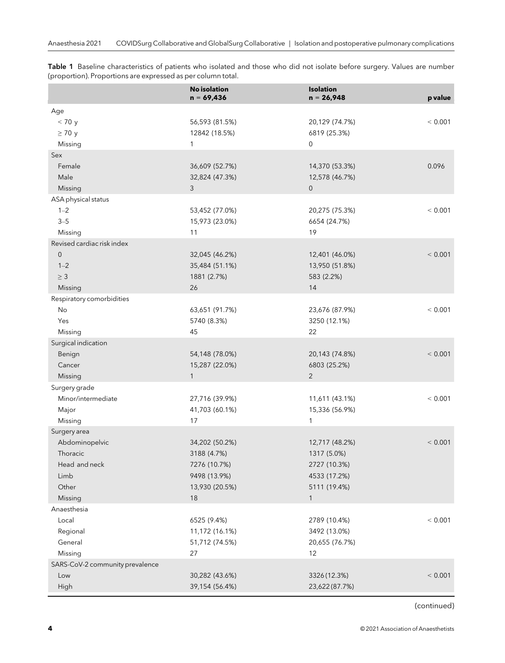|                                 | <b>No isolation</b><br>$n = 69,436$ | <b>Isolation</b><br>$n = 26,948$ | p value |
|---------------------------------|-------------------------------------|----------------------------------|---------|
| Age                             |                                     |                                  |         |
| < 70 y                          | 56,593 (81.5%)                      | 20,129 (74.7%)                   | < 0.001 |
| $\geq 70$ y                     | 12842 (18.5%)                       | 6819 (25.3%)                     |         |
| Missing                         | 1                                   | $\mathbf 0$                      |         |
| Sex                             |                                     |                                  |         |
| Female                          | 36,609 (52.7%)                      | 14,370 (53.3%)                   | 0.096   |
| Male                            | 32,824 (47.3%)                      | 12,578 (46.7%)                   |         |
| Missing                         | 3                                   | $\mathbf 0$                      |         |
| ASA physical status             |                                     |                                  |         |
| $1 - 2$                         | 53,452 (77.0%)                      | 20,275 (75.3%)                   | < 0.001 |
| $3 - 5$                         | 15,973 (23.0%)                      | 6654 (24.7%)                     |         |
| Missing                         | 11                                  | 19                               |         |
| Revised cardiac risk index      |                                     |                                  |         |
| $\mathbf 0$                     | 32,045 (46.2%)                      | 12,401 (46.0%)                   | < 0.001 |
| $1 - 2$                         | 35,484 (51.1%)                      | 13,950 (51.8%)                   |         |
| $\geq 3$                        | 1881 (2.7%)                         | 583 (2.2%)                       |         |
| Missing                         | 26                                  | 14                               |         |
| Respiratory comorbidities       |                                     |                                  |         |
| No                              | 63,651 (91.7%)                      | 23,676 (87.9%)                   | < 0.001 |
| Yes                             | 5740 (8.3%)                         | 3250 (12.1%)                     |         |
| Missing                         | 45                                  | 22                               |         |
| Surgical indication             |                                     |                                  |         |
| Benign                          | 54,148 (78.0%)                      | 20,143 (74.8%)                   | < 0.001 |
| Cancer                          | 15,287 (22.0%)                      | 6803 (25.2%)                     |         |
| Missing                         | $\mathbf{1}$                        | 2                                |         |
| Surgery grade                   |                                     |                                  |         |
| Minor/intermediate              | 27,716 (39.9%)                      | 11,611 (43.1%)                   | < 0.001 |
| Major                           | 41,703 (60.1%)                      | 15,336 (56.9%)                   |         |
| Missing                         | 17                                  | $\mathbf{1}$                     |         |
| Surgery area                    |                                     |                                  |         |
| Abdominopelvic                  | 34,202 (50.2%)                      | 12,717 (48.2%)                   | < 0.001 |
| Thoracic                        | 3188 (4.7%)                         | 1317 (5.0%)                      |         |
| Head and neck<br>Limb           | 7276 (10.7%)<br>9498 (13.9%)        | 2727 (10.3%)                     |         |
| Other                           | 13,930 (20.5%)                      | 4533 (17.2%)<br>5111 (19.4%)     |         |
| Missing                         | 18                                  | $\mathbf{1}$                     |         |
| Anaesthesia                     |                                     |                                  |         |
| Local                           | 6525 (9.4%)                         | 2789 (10.4%)                     | < 0.001 |
| Regional                        | 11,172 (16.1%)                      | 3492 (13.0%)                     |         |
| General                         | 51,712 (74.5%)                      | 20,655 (76.7%)                   |         |
| Missing                         | 27                                  | 12                               |         |
| SARS-CoV-2 community prevalence |                                     |                                  |         |
| Low                             | 30,282 (43.6%)                      | 3326 (12.3%)                     | < 0.001 |
| High                            | 39,154 (56.4%)                      | 23,622 (87.7%)                   |         |

Table 1 Baseline characteristics of patients who isolated and those who did not isolate before surgery. Values are number (proportion). Proportions are expressed as per column total.

(continued)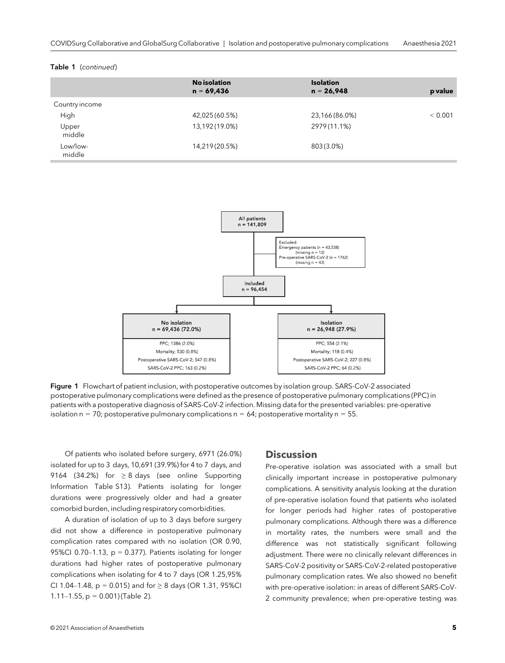#### Table 1 (continued)

|                    | <b>No isolation</b><br>$n = 69,436$ | <b>Isolation</b><br>$n = 26,948$ | p value |
|--------------------|-------------------------------------|----------------------------------|---------|
| Country income     |                                     |                                  |         |
| High               | 42,025 (60.5%)                      | 23,166 (86.0%)                   | < 0.001 |
| Upper<br>middle    | 13,192(19.0%)                       | 2979(11.1%)                      |         |
| Low/low-<br>middle | 14,219 (20.5%)                      | 803 (3.0%)                       |         |



Figure 1 Flowchart of patient inclusion, with postoperative outcomes by isolation group. SARS-CoV-2 associated postoperative pulmonary complications were defined as the presence of postoperative pulmonary complications (PPC) in patients with a postoperative diagnosis of SARS-CoV-2 infection. Missing data for the presented variables: pre-operative isolation  $n = 70$ ; postoperative pulmonary complications  $n = 64$ ; postoperative mortality  $n = 55$ .

Of patients who isolated before surgery, 6971 (26.0%) isolated for up to 3 days, 10,691 (39.9%) for 4 to 7 days, and 9164 (34.2%) for  $\geq 8$  days (see online Supporting Information Table S13). Patients isolating for longer durations were progressively older and had a greater comorbid burden, including respiratory comorbidities.

A duration of isolation of up to 3 days before surgery did not show a difference in postoperative pulmonary complication rates compared with no isolation (OR 0.90, 95%CI 0.70–1.13,  $p = 0.377$ ). Patients isolating for longer durations had higher rates of postoperative pulmonary complications when isolating for 4 to 7 days (OR 1.25,95% CI 1.04–1.48,  $p = 0.015$ ) and for  $\geq 8$  days (OR 1.31, 95%CI 1.11–1.55,  $p = 0.001$ ) (Table 2).

# **Discussion**

Pre-operative isolation was associated with a small but clinically important increase in postoperative pulmonary complications. A sensitivity analysis looking at the duration of pre-operative isolation found that patients who isolated for longer periods had higher rates of postoperative pulmonary complications. Although there was a difference in mortality rates, the numbers were small and the difference was not statistically significant following adjustment. There were no clinically relevant differences in SARS-CoV-2 positivity or SARS-CoV-2-related postoperative pulmonary complication rates. We also showed no benefit with pre-operative isolation: in areas of different SARS-CoV-2 community prevalence; when pre-operative testing was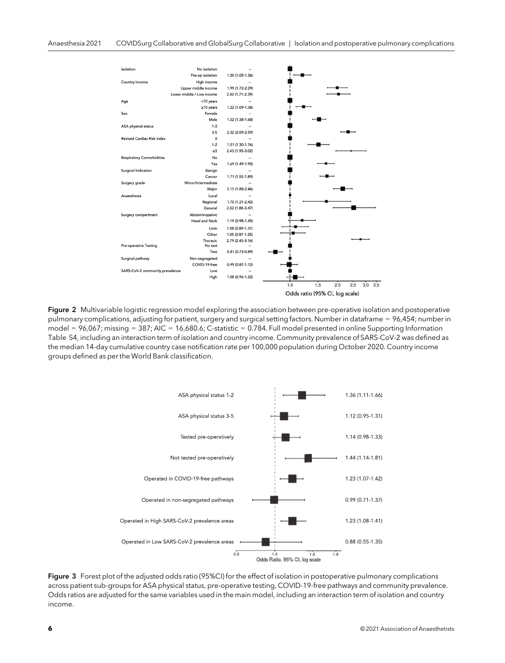

Figure 2 Multivariable logistic regression model exploring the association between pre-operative isolation and postoperative pulmonary complications, adjusting for patient, surgery and surgical setting factors. Number in dataframe = 96,454; number in model =  $96,067$ ; missing =  $387$ ; AIC =  $16,680.6$ ; C-statistic = 0.784. Full model presented in online Supporting Information Table S4, including an interaction term of isolation and country income. Community prevalence of SARS-CoV-2 was defined as the median 14-day cumulative country case notification rate per 100,000 population during October 2020. Country income groups defined as per the World Bank classification.



Figure 3 Forest plot of the adjusted odds ratio (95%CI) for the effect of isolation in postoperative pulmonary complications across patient sub-groups for ASA physical status, pre-operative testing, COVID-19-free pathways and community prevalence. Odds ratios are adjusted for the same variables used in the main model, including an interaction term of isolation and country income.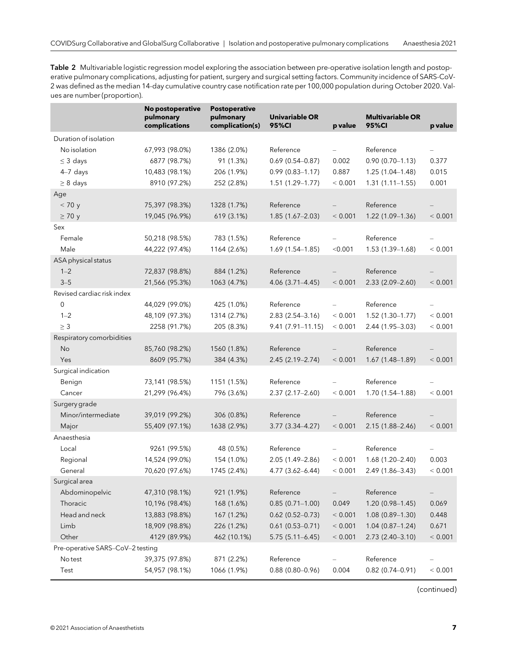Table 2 Multivariable logistic regression model exploring the association between pre-operative isolation length and postoperative pulmonary complications, adjusting for patient, surgery and surgical setting factors. Community incidence of SARS-CoV-2 was defined as the median 14-day cumulative country case notification rate per 100,000 population during October 2020. Values are number (proportion).

|                                  | No postoperative<br>pulmonary<br>complications | <b>Postoperative</b><br>pulmonary<br>complication(s) | Univariable OR<br><b>95%CI</b> | p value                  | <b>Multivariable OR</b><br>95%CI | p value                  |
|----------------------------------|------------------------------------------------|------------------------------------------------------|--------------------------------|--------------------------|----------------------------------|--------------------------|
| Duration of isolation            |                                                |                                                      |                                |                          |                                  |                          |
| No isolation                     | 67,993 (98.0%)                                 | 1386 (2.0%)                                          | Reference                      |                          | Reference                        |                          |
| $\leq$ 3 days                    | 6877 (98.7%)                                   | 91 (1.3%)                                            | $0.69(0.54 - 0.87)$            | 0.002                    | $0.90(0.70 - 1.13)$              | 0.377                    |
| $4-7$ days                       | 10,483 (98.1%)                                 | 206 (1.9%)                                           | $0.99(0.83 - 1.17)$            | 0.887                    | $1.25(1.04 - 1.48)$              | 0.015                    |
| $\geq 8$ days                    | 8910 (97.2%)                                   | 252 (2.8%)                                           | $1.51(1.29 - 1.77)$            | < 0.001                  | $1.31(1.11-1.55)$                | 0.001                    |
| Age                              |                                                |                                                      |                                |                          |                                  |                          |
| < 70 y                           | 75,397 (98.3%)                                 | 1328 (1.7%)                                          | Reference                      |                          | Reference                        |                          |
| $\geq 70$ y                      | 19,045 (96.9%)                                 | 619 (3.1%)                                           | $1.85(1.67-2.03)$              | < 0.001                  | 1.22 (1.09-1.36)                 | < 0.001                  |
| Sex                              |                                                |                                                      |                                |                          |                                  |                          |
| Female                           | 50,218 (98.5%)                                 | 783 (1.5%)                                           | Reference                      |                          | Reference                        |                          |
| Male                             | 44,222 (97.4%)                                 | 1164 (2.6%)                                          | $1.69(1.54 - 1.85)$            | < 0.001                  | $1.53(1.39-1.68)$                | < 0.001                  |
| ASA physical status              |                                                |                                                      |                                |                          |                                  |                          |
| $1 - 2$                          | 72,837 (98.8%)                                 | 884 (1.2%)                                           | Reference                      |                          | Reference                        |                          |
| $3 - 5$                          | 21,566 (95.3%)                                 | 1063 (4.7%)                                          | $4.06(3.71 - 4.45)$            | < 0.001                  | $2.33(2.09 - 2.60)$              | < 0.001                  |
| Revised cardiac risk index       |                                                |                                                      |                                |                          |                                  |                          |
| $\mathbf 0$                      | 44,029 (99.0%)                                 | 425 (1.0%)                                           | Reference                      | $\overline{\phantom{0}}$ | Reference                        | $\overline{\phantom{0}}$ |
| $1 - 2$                          | 48,109 (97.3%)                                 | 1314 (2.7%)                                          | $2.83(2.54 - 3.16)$            | < 0.001                  | $1.52(1.30-1.77)$                | < 0.001                  |
| $\geq 3$                         | 2258 (91.7%)                                   | 205 (8.3%)                                           | $9.41(7.91 - 11.15)$           | < 0.001                  | 2.44 (1.95-3.03)                 | < 0.001                  |
| Respiratory comorbidities        |                                                |                                                      |                                |                          |                                  |                          |
| No                               | 85,760 (98.2%)                                 | 1560 (1.8%)                                          | Reference                      |                          | Reference                        |                          |
| Yes                              | 8609 (95.7%)                                   | 384 (4.3%)                                           | $2.45(2.19 - 2.74)$            | < 0.001                  | $1.67(1.48-1.89)$                | < 0.001                  |
| Surgical indication              |                                                |                                                      |                                |                          |                                  |                          |
| Benign                           | 73,141 (98.5%)                                 | 1151 (1.5%)                                          | Reference                      |                          | Reference                        |                          |
| Cancer                           | 21,299 (96.4%)                                 | 796 (3.6%)                                           | $2.37(2.17 - 2.60)$            | < 0.001                  | 1.70 (1.54-1.88)                 | < 0.001                  |
| Surgery grade                    |                                                |                                                      |                                |                          |                                  |                          |
| Minor/intermediate               | 39,019 (99.2%)                                 | 306 (0.8%)                                           | Reference                      |                          | Reference                        |                          |
| Major                            | 55,409 (97.1%)                                 | 1638 (2.9%)                                          | 3.77 (3.34-4.27)               | < 0.001                  | 2.15 (1.88-2.46)                 | < 0.001                  |
| Anaesthesia                      |                                                |                                                      |                                |                          |                                  |                          |
| Local                            | 9261 (99.5%)                                   | 48 (0.5%)                                            | Reference                      | $\overline{\phantom{0}}$ | Reference                        | $\qquad \qquad -$        |
| Regional                         | 14,524 (99.0%)                                 | 154 (1.0%)                                           | $2.05(1.49 - 2.86)$            | < 0.001                  | $1.68(1.20 - 2.40)$              | 0.003                    |
| General                          | 70,620 (97.6%)                                 | 1745 (2.4%)                                          | 4.77 (3.62-6.44)               | < 0.001                  | 2.49 (1.86-3.43)                 | < 0.001                  |
| Surgical area                    |                                                |                                                      |                                |                          |                                  |                          |
| Abdominopelvic                   | 47,310 (98.1%)                                 | 921 (1.9%)                                           | Reference                      | $\overline{\phantom{0}}$ | Reference                        | -                        |
| Thoracic                         | 10,196 (98.4%)                                 | 168 (1.6%)                                           | $0.85(0.71 - 1.00)$            | 0.049                    | 1.20 (0.98-1.45)                 | 0.069                    |
| Head and neck                    | 13,883 (98.8%)                                 | 167 (1.2%)                                           | $0.62$ (0.52-0.73)             | < 0.001                  | 1.08 (0.89-1.30)                 | 0.448                    |
| Limb                             | 18,909 (98.8%)                                 | 226 (1.2%)                                           | $0.61(0.53 - 0.71)$            | < 0.001                  | $1.04(0.87 - 1.24)$              | 0.671                    |
| Other                            | 4129 (89.9%)                                   | 462 (10.1%)                                          | $5.75(5.11 - 6.45)$            | < 0.001                  | 2.73 (2.40-3.10)                 | < 0.001                  |
| Pre-operative SARS-CoV-2 testing |                                                |                                                      |                                |                          |                                  |                          |
| No test                          | 39,375 (97.8%)                                 | 871 (2.2%)                                           | Reference                      |                          | Reference                        |                          |
| Test                             | 54,957 (98.1%)                                 | 1066 (1.9%)                                          | $0.88(0.80 - 0.96)$            | 0.004                    | $0.82$ (0.74-0.91)               | < 0.001                  |

(continued)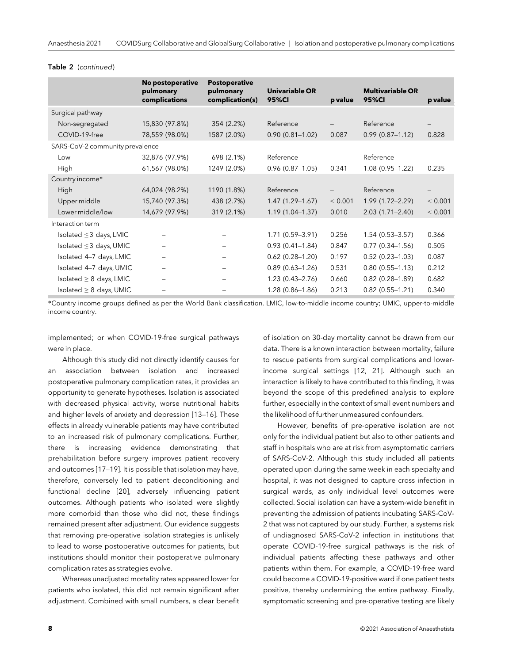|                                 | No postoperative<br>pulmonary<br>complications | <b>Postoperative</b><br>pulmonary<br>complication(s) | Univariable OR<br>95%CI | p value | <b>Multivariable OR</b><br><b>95%CI</b> | p value |
|---------------------------------|------------------------------------------------|------------------------------------------------------|-------------------------|---------|-----------------------------------------|---------|
| Surgical pathway                |                                                |                                                      |                         |         |                                         |         |
| Non-segregated                  | 15,830 (97.8%)                                 | 354 (2.2%)                                           | Reference               |         | Reference                               |         |
| COVID-19-free                   | 78,559 (98.0%)                                 | 1587 (2.0%)                                          | $0.90(0.81 - 1.02)$     | 0.087   | $0.99(0.87 - 1.12)$                     | 0.828   |
| SARS-CoV-2 community prevalence |                                                |                                                      |                         |         |                                         |         |
| Low                             | 32,876 (97.9%)                                 | 698 (2.1%)                                           | Reference               |         | Reference                               |         |
| High                            | 61,567 (98.0%)                                 | 1249 (2.0%)                                          | $0.96(0.87 - 1.05)$     | 0.341   | $1.08(0.95 - 1.22)$                     | 0.235   |
| Country income*                 |                                                |                                                      |                         |         |                                         |         |
| High                            | 64,024 (98.2%)                                 | 1190 (1.8%)                                          | Reference               |         | Reference                               |         |
| Upper middle                    | 15,740 (97.3%)                                 | 438 (2.7%)                                           | $1.47(1.29-1.67)$       | < 0.001 | $1.99(1.72 - 2.29)$                     | < 0.001 |
| Lower middle/low                | 14,679 (97.9%)                                 | 319 (2.1%)                                           | $1.19(1.04 - 1.37)$     | 0.010   | $2.03(1.71 - 2.40)$                     | < 0.001 |
| Interaction term                |                                                |                                                      |                         |         |                                         |         |
| Isolated $\leq$ 3 days, LMIC    | $\qquad \qquad -$                              | $\overline{\phantom{m}}$                             | $1.71(0.59 - 3.91)$     | 0.256   | $1.54(0.53 - 3.57)$                     | 0.366   |
| Isolated $\leq$ 3 days, UMIC    |                                                |                                                      | $0.93(0.41 - 1.84)$     | 0.847   | $0.77(0.34 - 1.56)$                     | 0.505   |
| Isolated 4-7 days, LMIC         |                                                |                                                      | $0.62(0.28 - 1.20)$     | 0.197   | $0.52(0.23 - 1.03)$                     | 0.087   |
| Isolated 4-7 days, UMIC         |                                                |                                                      | $0.89(0.63 - 1.26)$     | 0.531   | $0.80(0.55 - 1.13)$                     | 0.212   |
| Isolated $\geq 8$ days, LMIC    | -                                              | $\overline{\phantom{m}}$                             | $1.23(0.43 - 2.76)$     | 0.660   | $0.82(0.28 - 1.89)$                     | 0.682   |
| Isolated $\geq 8$ days, UMIC    | $\overline{\phantom{0}}$                       |                                                      | $1.28(0.86 - 1.86)$     | 0.213   | $0.82(0.55 - 1.21)$                     | 0.340   |

#### Table 2 (continued)

\*Country income groups defined as per the World Bank classification. LMIC, low-to-middle income country; UMIC, upper-to-middle income country.

implemented; or when COVID-19-free surgical pathways were in place.

Although this study did not directly identify causes for an association between isolation and increased postoperative pulmonary complication rates, it provides an opportunity to generate hypotheses. Isolation is associated with decreased physical activity, worse nutritional habits and higher levels of anxiety and depression [13–16]. These effects in already vulnerable patients may have contributed to an increased risk of pulmonary complications. Further, there is increasing evidence demonstrating that prehabilitation before surgery improves patient recovery and outcomes [17–19]. It is possible that isolation may have, therefore, conversely led to patient deconditioning and functional decline [20], adversely influencing patient outcomes. Although patients who isolated were slightly more comorbid than those who did not, these findings remained present after adjustment. Our evidence suggests that removing pre-operative isolation strategies is unlikely to lead to worse postoperative outcomes for patients, but institutions should monitor their postoperative pulmonary complication rates as strategies evolve.

Whereas unadjusted mortality rates appeared lower for patients who isolated, this did not remain significant after adjustment. Combined with small numbers, a clear benefit of isolation on 30-day mortality cannot be drawn from our data. There is a known interaction between mortality, failure to rescue patients from surgical complications and lowerincome surgical settings [12, 21]. Although such an interaction is likely to have contributed to this finding, it was beyond the scope of this predefined analysis to explore further, especially in the context of small event numbers and the likelihood of further unmeasured confounders.

However, benefits of pre-operative isolation are not only for the individual patient but also to other patients and staff in hospitals who are at risk from asymptomatic carriers of SARS-CoV-2. Although this study included all patients operated upon during the same week in each specialty and hospital, it was not designed to capture cross infection in surgical wards, as only individual level outcomes were collected. Social isolation can have a system-wide benefit in preventing the admission of patients incubating SARS-CoV-2 that was not captured by our study. Further, a systems risk of undiagnosed SARS-CoV-2 infection in institutions that operate COVID-19-free surgical pathways is the risk of individual patients affecting these pathways and other patients within them. For example, a COVID-19-free ward could become a COVID-19-positive ward if one patient tests positive, thereby undermining the entire pathway. Finally, symptomatic screening and pre-operative testing are likely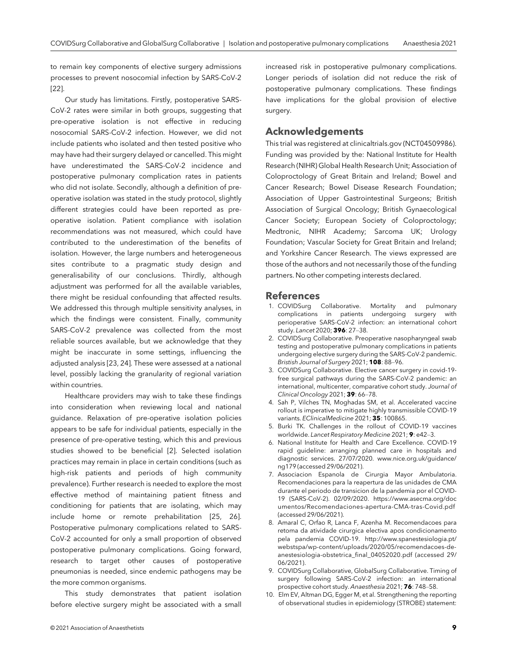to remain key components of elective surgery admissions processes to prevent nosocomial infection by SARS-CoV-2 [22].

Our study has limitations. Firstly, postoperative SARS-CoV-2 rates were similar in both groups, suggesting that pre-operative isolation is not effective in reducing nosocomial SARS-CoV-2 infection. However, we did not include patients who isolated and then tested positive who may have had their surgery delayed or cancelled. This might have underestimated the SARS-CoV-2 incidence and postoperative pulmonary complication rates in patients who did not isolate. Secondly, although a definition of preoperative isolation was stated in the study protocol, slightly different strategies could have been reported as preoperative isolation. Patient compliance with isolation recommendations was not measured, which could have contributed to the underestimation of the benefits of isolation. However, the large numbers and heterogeneous sites contribute to a pragmatic study design and generalisability of our conclusions. Thirdly, although adjustment was performed for all the available variables, there might be residual confounding that affected results. We addressed this through multiple sensitivity analyses, in which the findings were consistent. Finally, community SARS-CoV-2 prevalence was collected from the most reliable sources available, but we acknowledge that they might be inaccurate in some settings, influencing the adjusted analysis [23, 24]. These were assessed at a national level, possibly lacking the granularity of regional variation within countries.

Healthcare providers may wish to take these findings into consideration when reviewing local and national guidance. Relaxation of pre-operative isolation policies appears to be safe for individual patients, especially in the presence of pre-operative testing, which this and previous studies showed to be beneficial [2]. Selected isolation practices may remain in place in certain conditions (such as high-risk patients and periods of high community prevalence). Further research is needed to explore the most effective method of maintaining patient fitness and conditioning for patients that are isolating, which may include home or remote prehabilitation [25, 26]. Postoperative pulmonary complications related to SARS-CoV-2 accounted for only a small proportion of observed postoperative pulmonary complications. Going forward, research to target other causes of postoperative pneumonias is needed, since endemic pathogens may be the more common organisms.

This study demonstrates that patient isolation before elective surgery might be associated with a small

increased risk in postoperative pulmonary complications. Longer periods of isolation did not reduce the risk of postoperative pulmonary complications. These findings have implications for the global provision of elective surgery.

## Acknowledgements

This trial was registered at clinicaltrials.gov (NCT04509986). Funding was provided by the: National Institute for Health Research (NIHR) Global Health Research Unit; Association of Coloproctology of Great Britain and Ireland; Bowel and Cancer Research; Bowel Disease Research Foundation; Association of Upper Gastrointestinal Surgeons; British Association of Surgical Oncology; British Gynaecological Cancer Society; European Society of Coloproctology; Medtronic, NIHR Academy; Sarcoma UK; Urology Foundation; Vascular Society for Great Britain and Ireland; and Yorkshire Cancer Research. The views expressed are those of the authors and not necessarily those of the funding partners. No other competing interests declared.

## References

- 1. COVIDSurg Collaborative. Mortality and pulmonary complications in patients perioperative SARS-CoV-2 infection: an international cohort study. Lancet 2020; 396: 27–38.
- 2. COVIDSurg Collaborative. Preoperative nasopharyngeal swab testing and postoperative pulmonary complications in patients undergoing elective surgery during the SARS-CoV-2 pandemic. Bristish Journal of Surgery 2021; 108: 88-96.
- 3. COVIDSurg Collaborative. Elective cancer surgery in covid-19 free surgical pathways during the SARS-CoV-2 pandemic: an international, multicenter, comparative cohort study. Journal of Clinical Oncology 2021; 39: 66–78.
- 4. Sah P, Vilches TN, Moghadas SM, et al. Accelerated vaccine rollout is imperative to mitigate highly transmissible COVID-19 variants. EClinicalMedicine 2021; 35: 100865.
- 5. Burki TK. Challenges in the rollout of COVID-19 vaccines worldwide. Lancet Respiratory Medicine 2021; 9: e42–3.
- 6. National Institute for Health and Care Excellence. COVID-19 rapid guideline: arranging planned care in hospitals and diagnostic services. 27/07/2020. [www.nice.org.uk/guidance/](http://www.nice.org.uk/guidance/ng179) [ng179](http://www.nice.org.uk/guidance/ng179) (accessed 29/06/2021).
- 7. Associacion Espanola de Cirurgia Mayor Ambulatoria. Recomendaciones para la reapertura de las unidades de CMA durante el periodo de transicion de la pandemia por el COVID-19 (SARS-CoV-2). 02/09/2020. [https://www.asecma.org/doc](https://www.asecma.org/documentos/Recomendaciones-apertura-CMA-tras-Covid.pdf) [umentos/Recomendaciones-apertura-CMA-tras-Covid.pdf](https://www.asecma.org/documentos/Recomendaciones-apertura-CMA-tras-Covid.pdf) (accessed 29/06/2021).
- 8. Amaral C, Orfao R, Lanca F, Azenha M. Recomendacoes para retoma da atividade cirurgica electiva apos condicionamento pela pandemia COVID-19. [http://www.spanestesiologia.pt/](http://www.spanestesiologia.pt/webstspa/wp-content/uploads/2020/05/recomendacoes-de-anestesiologia-obstetrica_final_04052020.pdf) [webstspa/wp-content/uploads/2020/05/recomendacoes-de](http://www.spanestesiologia.pt/webstspa/wp-content/uploads/2020/05/recomendacoes-de-anestesiologia-obstetrica_final_04052020.pdf)[anestesiologia-obstetrica\\_final\\_04052020.pdf](http://www.spanestesiologia.pt/webstspa/wp-content/uploads/2020/05/recomendacoes-de-anestesiologia-obstetrica_final_04052020.pdf) (accessed 29/ 06/2021).
- 9. COVIDSurg Collaborative, GlobalSurg Collaborative. Timing of surgery following SARS-CoV-2 infection: an international prospective cohort study. Anaesthesia 2021; 76: 748–58.
- 10. Elm EV, Altman DG, Egger M, et al. Strengthening the reporting of observational studies in epidemiology (STROBE) statement: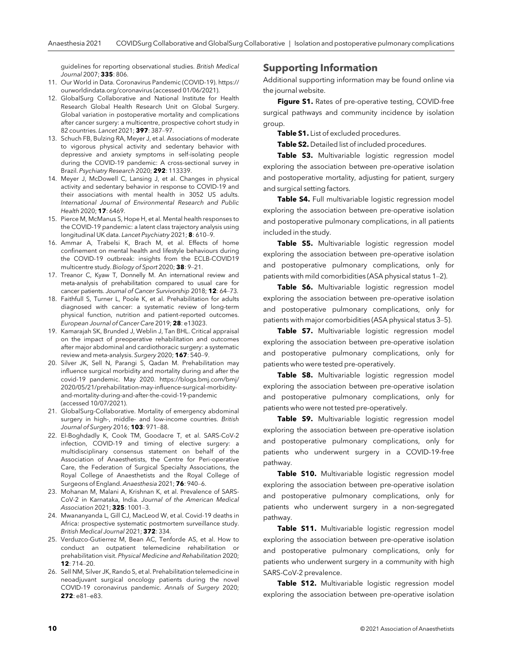guidelines for reporting observational studies. British Medical Journal 2007; 335: 806.

- 11. Our World in Data. Coronavirus Pandemic (COVID-19). [https://](https://ourworldindata.org/coronavirus) [ourworldindata.org/coronavirus](https://ourworldindata.org/coronavirus) (accessed 01/06/2021).
- 12. GlobalSurg Collaborative and National Institute for Health Research Global Health Research Unit on Global Surgery. Global variation in postoperative mortality and complications after cancer surgery: a multicentre, prospective cohort study in 82 countries. Lancet 2021; 397: 387–97.
- 13. Schuch FB, Bulzing RA, Meyer J, et al. Associations of moderate to vigorous physical activity and sedentary behavior with depressive and anxiety symptoms in self-isolating people during the COVID-19 pandemic: A cross-sectional survey in Brazil. Psychiatry Research 2020; 292: 113339.
- 14. Meyer J, McDowell C, Lansing J, et al. Changes in physical activity and sedentary behavior in response to COVID-19 and their associations with mental health in 3052 US adults. International Journal of Environmental Research and Public Health 2020; **17**: 6469.
- 15. Pierce M, McManus S, Hope H, et al. Mental health responses to the COVID-19 pandemic: a latent class trajectory analysis using longitudinal UK data. Lancet Psychiatry 2021; 8: 610–9.
- 16. Ammar A, Trabelsi K, Brach M, et al. Effects of home confinement on mental health and lifestyle behaviours during the COVID-19 outbreak: insights from the ECLB-COVID19 multicentre study. Biology of Sport 2020; 38: 9–21.
- 17. Treanor C, Kyaw T, Donnelly M. An international review and meta-analysis of prehabilitation compared to usual care for cancer patients. Journal of Cancer Survivorship 2018; 12: 64–73.
- 18. Faithfull S, Turner L, Poole K, et al. Prehabilitation for adults diagnosed with cancer: a systematic review of long-term physical function, nutrition and patient-reported outcomes. European Journal of Cancer Care 2019; 28: e13023.
- 19. Kamarajah SK, Brunded J, Weblin J, Tan BHL. Critical appraisal on the impact of preoperative rehabilitation and outcomes after major abdominal and cardiothoracic surgery: a systematic review and meta-analysis. Surgery 2020; 167: 540–9.
- 20. Silver JK, Sell N, Parangi S, Qadan M. Prehabilitation may influence surgical morbidity and mortality during and after the covid-19 pandemic. May 2020. [https://blogs.bmj.com/bmj/](https://blogs.bmj.com/bmj/2020/05/21/prehabilitation-may-influence-surgical-morbidity-and-mortality-during-and-after-the-covid-19-pandemic) [2020/05/21/prehabilitation-may-influence-surgical-morbidity](https://blogs.bmj.com/bmj/2020/05/21/prehabilitation-may-influence-surgical-morbidity-and-mortality-during-and-after-the-covid-19-pandemic)[and-mortality-during-and-after-the-covid-19-pandemic](https://blogs.bmj.com/bmj/2020/05/21/prehabilitation-may-influence-surgical-morbidity-and-mortality-during-and-after-the-covid-19-pandemic) (accessed 10/07/2021).
- 21. GlobalSurg-Collaborative. Mortality of emergency abdominal surgery in high-, middle- and low-income countries. British Journal of Surgery 2016; 103: 971–88.
- 22. El-Boghdadly K, Cook TM, Goodacre T, et al. SARS-CoV-2 infection, COVID-19 and timing of elective surgery: a multidisciplinary consensus statement on behalf of the Association of Anaesthetists, the Centre for Peri-operative Care, the Federation of Surgical Specialty Associations, the Royal College of Anaesthetists and the Royal College of Surgeons of England. Anaesthesia 2021; 76: 940–6.
- 23. Mohanan M, Malani A, Krishnan K, et al. Prevalence of SARS-CoV-2 in Karnataka, India. Journal of the American Medical Association 2021; 325: 1001-3.
- 24. Mwananyanda L, Gill CJ, MacLeod W, et al. Covid-19 deaths in Africa: prospective systematic postmortem surveillance study. British Medical Journal 2021; 372: 334.
- 25. Verduzco-Gutierrez M, Bean AC, Tenforde AS, et al. How to conduct an outpatient telemedicine rehabilitation or prehabilitation visit. Physical Medicine and Rehabilitation 2020;  $12.714 - 20$
- 26. Sell NM, Silver JK, Rando S, et al. Prehabilitation telemedicine in neoadjuvant surgical oncology patients during the novel COVID-19 coronavirus pandemic. Annals of Surgery 2020; 272: e81–e83.

## Supporting Information

[Additional supporting information may be found online via](https://onlinelibrary.wiley.com/doi/10.1111/anae.15560) [the journal website.](https://onlinelibrary.wiley.com/doi/10.1111/anae.15560)

Figure S1. Rates of pre-operative testing, COVID-free surgical pathways and community incidence by isolation group.

Table S1. List of excluded procedures.

Table S2. Detailed list of included procedures.

Table S3. Multivariable logistic regression model exploring the association between pre-operative isolation and postoperative mortality, adjusting for patient, surgery and surgical setting factors.

Table S4. Full multivariable logistic regression model exploring the association between pre-operative isolation and postoperative pulmonary complications, in all patients included in the study.

Table S5. Multivariable logistic regression model exploring the association between pre-operative isolation and postoperative pulmonary complications, only for patients with mild comorbidities (ASA physical status 1–2).

Table S6. Multivariable logistic regression model exploring the association between pre-operative isolation and postoperative pulmonary complications, only for patients with major comorbidities (ASA physical status 3–5).

Table S7. Multivariable logistic regression model exploring the association between pre-operative isolation and postoperative pulmonary complications, only for patients who were tested pre-operatively.

Table S8. Multivariable logistic regression model exploring the association between pre-operative isolation and postoperative pulmonary complications, only for patients who were not tested pre-operatively.

Table S9. Multivariable logistic regression model exploring the association between pre-operative isolation and postoperative pulmonary complications, only for patients who underwent surgery in a COVID-19-free pathway.

Table S10. Multivariable logistic regression model exploring the association between pre-operative isolation and postoperative pulmonary complications, only for patients who underwent surgery in a non-segregated pathway.

Table S11. Multivariable logistic regression model exploring the association between pre-operative isolation and postoperative pulmonary complications, only for patients who underwent surgery in a community with high SARS-CoV-2 prevalence.

Table S12. Multivariable logistic regression model exploring the association between pre-operative isolation